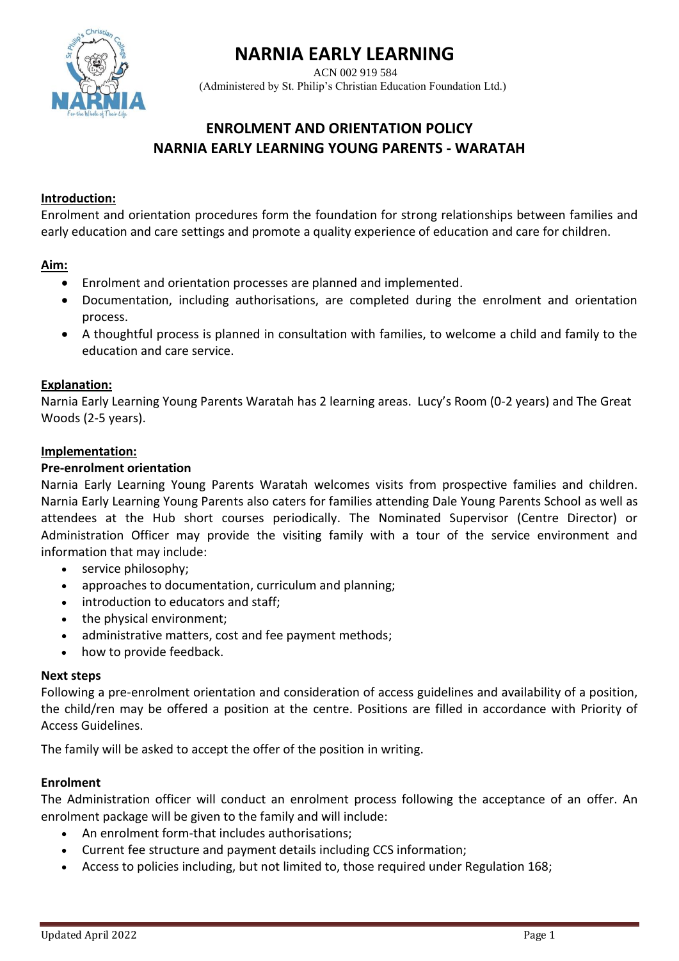# **NARNIA EARLY LEARNING**



 ACN 002 919 584 (Administered by St. Philip's Christian Education Foundation Ltd.)

# **ENROLMENT AND ORIENTATION POLICY NARNIA EARLY LEARNING YOUNG PARENTS - WARATAH**

# **Introduction:**

Enrolment and orientation procedures form the foundation for strong relationships between families and early education and care settings and promote a quality experience of education and care for children.

#### **Aim:**

- Enrolment and orientation processes are planned and implemented.
- Documentation, including authorisations, are completed during the enrolment and orientation process.
- A thoughtful process is planned in consultation with families, to welcome a child and family to the education and care service.

#### **Explanation:**

Narnia Early Learning Young Parents Waratah has 2 learning areas. Lucy's Room (0-2 years) and The Great Woods (2-5 years).

#### **Implementation:**

#### **Pre-enrolment orientation**

Narnia Early Learning Young Parents Waratah welcomes visits from prospective families and children. Narnia Early Learning Young Parents also caters for families attending Dale Young Parents School as well as attendees at the Hub short courses periodically. The Nominated Supervisor (Centre Director) or Administration Officer may provide the visiting family with a tour of the service environment and information that may include:

- service philosophy;
- approaches to documentation, curriculum and planning;
- introduction to educators and staff;
- the physical environment;
- administrative matters, cost and fee payment methods;
- how to provide feedback.

#### **Next steps**

Following a pre-enrolment orientation and consideration of access guidelines and availability of a position, the child/ren may be offered a position at the centre. Positions are filled in accordance with Priority of Access Guidelines.

The family will be asked to accept the offer of the position in writing.

#### **Enrolment**

The Administration officer will conduct an enrolment process following the acceptance of an offer. An enrolment package will be given to the family and will include:

- An enrolment form-that includes authorisations;
- Current fee structure and payment details including CCS information;
- Access to policies including, but not limited to, those required under Regulation 168;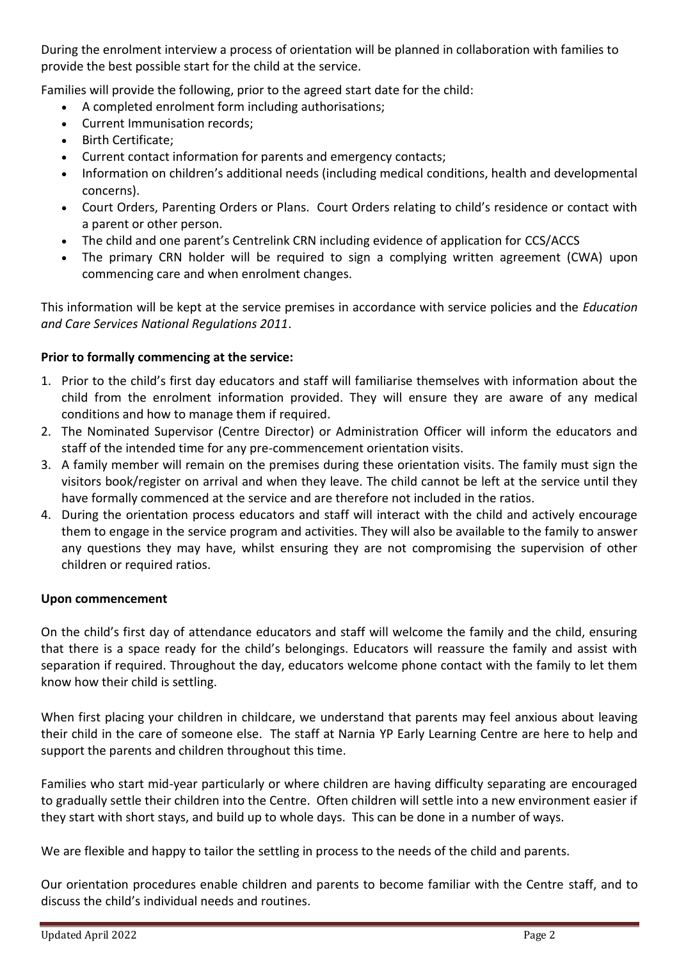During the enrolment interview a process of orientation will be planned in collaboration with families to provide the best possible start for the child at the service.

Families will provide the following, prior to the agreed start date for the child:

- A completed enrolment form including authorisations;
- Current Immunisation records;
- Birth Certificate;
- Current contact information for parents and emergency contacts;
- Information on children's additional needs (including medical conditions, health and developmental concerns).
- Court Orders, Parenting Orders or Plans. Court Orders relating to child's residence or contact with a parent or other person.
- The child and one parent's Centrelink CRN including evidence of application for CCS/ACCS
- The primary CRN holder will be required to sign a complying written agreement (CWA) upon commencing care and when enrolment changes.

This information will be kept at the service premises in accordance with service policies and the *Education and Care Services National Regulations 2011*.

# **Prior to formally commencing at the service:**

- 1. Prior to the child's first day educators and staff will familiarise themselves with information about the child from the enrolment information provided. They will ensure they are aware of any medical conditions and how to manage them if required.
- 2. The Nominated Supervisor (Centre Director) or Administration Officer will inform the educators and staff of the intended time for any pre-commencement orientation visits.
- 3. A family member will remain on the premises during these orientation visits. The family must sign the visitors book/register on arrival and when they leave. The child cannot be left at the service until they have formally commenced at the service and are therefore not included in the ratios.
- 4. During the orientation process educators and staff will interact with the child and actively encourage them to engage in the service program and activities. They will also be available to the family to answer any questions they may have, whilst ensuring they are not compromising the supervision of other children or required ratios.

### **Upon commencement**

On the child's first day of attendance educators and staff will welcome the family and the child, ensuring that there is a space ready for the child's belongings. Educators will reassure the family and assist with separation if required. Throughout the day, educators welcome phone contact with the family to let them know how their child is settling.

When first placing your children in childcare, we understand that parents may feel anxious about leaving their child in the care of someone else. The staff at Narnia YP Early Learning Centre are here to help and support the parents and children throughout this time.

Families who start mid-year particularly or where children are having difficulty separating are encouraged to gradually settle their children into the Centre. Often children will settle into a new environment easier if they start with short stays, and build up to whole days. This can be done in a number of ways.

We are flexible and happy to tailor the settling in process to the needs of the child and parents.

Our orientation procedures enable children and parents to become familiar with the Centre staff, and to discuss the child's individual needs and routines.